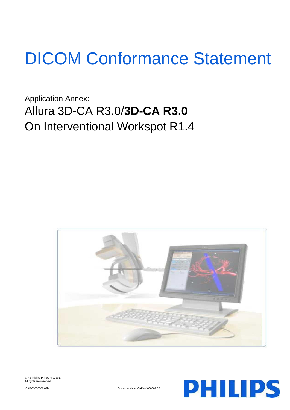# DICOM Conformance Statement

Application Annex: Allura 3D-CA R3.0/**3D-CA R3.0** On Interventional Workspot R1.4





**PHILIPS** 

ICAP-T-030001.09b Corresponds to ICAP-W-030001.02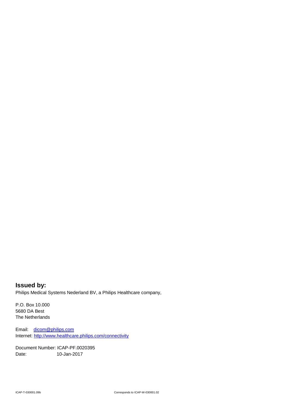**Issued by:** Philips Medical Systems Nederland BV, a Philips Healthcare company,

P.O. Box 10.000 5680 DA Best The Netherlands

Email: [dicom@philips.com](mailto:dicom@philips.com) Internet[: http://www.healthcare.philips.com/connectivity](http://www.healthcare.philips.com/connectivity)

Document Number: ICAP-PF.0020395 Date: 10-Jan-2017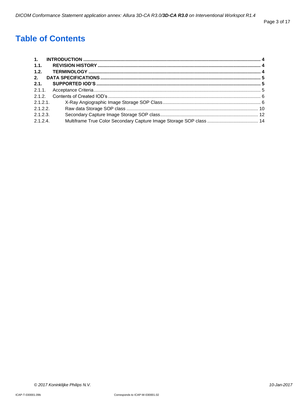# **Table of Contents**

| 1.       |  |
|----------|--|
| 1.1.     |  |
| 1.2.     |  |
| 2.       |  |
| 2.1.     |  |
|          |  |
| 2.1.2.   |  |
| 2.1.2.1. |  |
| 2.1.2.2. |  |
| 2.1.2.3. |  |
| 2.1.2.4  |  |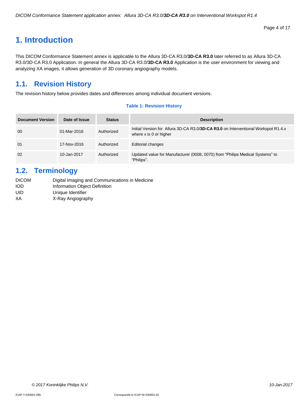# <span id="page-3-0"></span>**1. Introduction**

This DICOM Conformance Statement annex is applicable to the Allura 3D-CA R3.0/**3D-CA R3.0** later referred to as Allura 3D-CA R3.0/3D-CA R3.0 Application. In general the Allura 3D-CA R3.0/**3D-CA R3.0** Application is the user environment for viewing and analyzing XA images, it allows generation of 3D coronary angiography models.

# <span id="page-3-1"></span>**1.1. Revision History**

The revision history below provides dates and differences among individual document versions.

#### **Table 1: Revision History**

| <b>Document Version</b> | Date of Issue | <b>Status</b> | <b>Description</b>                                                                                           |
|-------------------------|---------------|---------------|--------------------------------------------------------------------------------------------------------------|
| 00                      | 01-Mar-2016   | Authorized    | Initial Version for Allura 3D-CA R3.0/3D-CA R3.0 on Interventional Workspot R1.4.x<br>where x is 0 or higher |
| 01                      | 17-Nov-2016   | Authorized    | Editorial changes                                                                                            |
| 02                      | 10-Jan-2017   | Authorized    | Updated value for Manufacturer (0008, 0070) from "Philips Medical Systems" to<br>"Philips".                  |

# <span id="page-3-2"></span>**1.2. Terminology**

| <b>DICOM</b> | Digital Imaging and Communications in Medicine |
|--------------|------------------------------------------------|
| IOD          | Information Object Definition                  |
| UID          | Unique Identifier                              |
| ΧA           | X-Ray Angiography                              |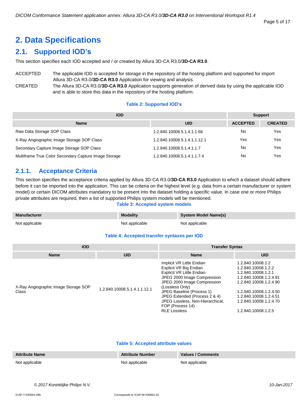# <span id="page-4-0"></span>**2. Data Specifications**

# <span id="page-4-1"></span>**2.1. Supported IOD's**

This section specifies each IOD accepted and / or created by Allura 3D-CA R3.0/**3D-CA R3.0**.

ACCEPTED The applicable IOD is accepted for storage in the repository of the hosting platform and supported for import Allura 3D-CA R3.0/**3D-CA R3.0** Application for viewing and analysis. CREATED The Allura 3D-CA R3.0/**3D-CA R3.0** Application supports generation of derived data by using the applicable IOD

and is able to store this data in the repository of the hosting platform.

## **Table 2: Supported IOD's**

| <b>IOD</b>                                            | <b>Support</b>               |                 |                |
|-------------------------------------------------------|------------------------------|-----------------|----------------|
| <b>Name</b>                                           | UID                          | <b>ACCEPTED</b> | <b>CREATED</b> |
| Raw Data Storage SOP Class                            | 1.2.840.10008.5.1.4.1.1.66   | No              | Yes            |
| X-Ray Angiographic Image Storage SOP Class            | 1.2.840.10008.5.1.4.1.1.12.1 | Yes             | Yes            |
| Secondary Capture Image Storage SOP Class             | 1.2.840.10008.5.1.4.1.1.7    | No              | Yes            |
| Multiframe True Color Secondary Capture Image Storage | 1.2.840.10008.5.1.4.1.1.7.4  | No              | Yes            |

# <span id="page-4-2"></span>**2.1.1. Acceptance Criteria**

This section specifies the acceptance criteria applied by Allura 3D-CA R3.0/**3D-CA R3.0** Application to which a dataset should adhere before it can be imported into the application. This can be criteria on the highest level (e.g. data from a certain manufacturer or system model) or certain DICOM attributes mandatory to be present into the dataset holding a specific value. In case one or more Philips private attributes are required, then a list of supported Philips system models will be mentioned.

#### **Table 3: Accepted system models**

| <b>Manufacturer</b> | <b>Modality</b> | <b>System Model Name(s)</b> |
|---------------------|-----------------|-----------------------------|
| Not applicable      | Not applicable  | Not applicable              |

#### **Table 4: Accepted transfer syntaxes per IOD**

| <b>IOD</b>                                    |                              | <b>Transfer Syntax</b>                                                                                                                                                                                                                                                                                         |                                                                                                                                                                                                                          |  |
|-----------------------------------------------|------------------------------|----------------------------------------------------------------------------------------------------------------------------------------------------------------------------------------------------------------------------------------------------------------------------------------------------------------|--------------------------------------------------------------------------------------------------------------------------------------------------------------------------------------------------------------------------|--|
| <b>Name</b>                                   | <b>UID</b>                   | <b>Name</b>                                                                                                                                                                                                                                                                                                    | <b>UID</b>                                                                                                                                                                                                               |  |
| X-Ray Angiographic Image Storage SOP<br>Class | 1.2.840.10008.5.1.4.1.1.12.1 | Implicit VR Little Endian<br>Explicit VR Big Endian<br>Explicit VR Little Endian<br>JPEG 2000 Image Compression<br>JPEG 2000 Image Compression<br>(Lossless Only)<br>JPEG Baseline (Process 1)<br>JPEG Extended (Process 2 & 4)<br>JPEG Lossless, Non-Hierarchical,<br>FOP (Process 14)<br><b>RLE Lossless</b> | 1.2.840.10008.1.2<br>1.2.840.10008.1.2.2<br>1.2.840.10008.1.2.1<br>1.2.840.10008.1.2.4.91<br>1.2.840.10008.1.2.4.90<br>1.2.840.10008.1.2.4.50<br>1.2.840.10008.1.2.4.51<br>1.2.840.10008.1.2.4.70<br>1.2.840.10008.1.2.5 |  |

#### **Table 5: Accepted attribute values**

| <b>Attribute Name</b> | <b>Attribute Number</b> | <b>Values / Comments</b> |
|-----------------------|-------------------------|--------------------------|
| Not applicable        | Not applicable          | Not applicable           |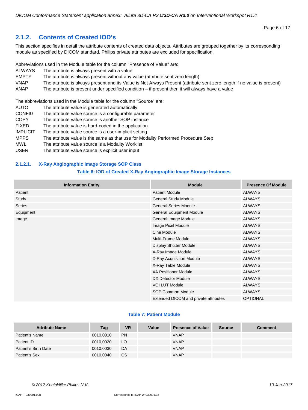# <span id="page-5-0"></span>**2.1.2. Contents of Created IOD's**

This section specifies in detail the attribute contents of created data objects. Attributes are grouped together by its corresponding module as specified by DICOM standard. Philips private attributes are excluded for specification.

Abbreviations used in the Module table for the column "Presence of Value" are:

- ALWAYS The attribute is always present with a value
- EMPTY The attribute is always present without any value (attribute sent zero length)
- VNAP The attribute is always present and its Value is Not Always Present (attribute sent zero length if no value is present)
- ANAP The attribute is present under specified condition if present then it will always have a value

The abbreviations used in the Module table for the column "Source" are:

- AUTO The attribute value is generated automatically
- CONFIG The attribute value source is a configurable parameter
- COPY The attribute value source is another SOP instance
- FIXED The attribute value is hard-coded in the application
- IMPLICIT The attribute value source is a user-implicit setting
- MPPS The attribute value is the same as that use for Modality Performed Procedure Step
- MWL The attribute value source is a Modality Worklist
- USER The attribute value source is explicit user input

#### <span id="page-5-1"></span>**2.1.2.1. X-Ray Angiographic Image Storage SOP Class**

#### **Table 6: IOD of Created X-Ray Angiographic Image Storage Instances**

| <b>Information Entity</b> | <b>Module</b>                         | <b>Presence Of Module</b> |
|---------------------------|---------------------------------------|---------------------------|
| Patient                   | <b>Patient Module</b>                 | <b>ALWAYS</b>             |
| Study                     | <b>General Study Module</b>           | <b>ALWAYS</b>             |
| Series                    | <b>General Series Module</b>          | <b>ALWAYS</b>             |
| Equipment                 | <b>General Equipment Module</b>       | <b>ALWAYS</b>             |
| Image                     | General Image Module                  | <b>ALWAYS</b>             |
|                           | Image Pixel Module                    | <b>ALWAYS</b>             |
|                           | Cine Module                           | <b>ALWAYS</b>             |
|                           | <b>Multi-Frame Module</b>             | <b>ALWAYS</b>             |
|                           | <b>Display Shutter Module</b>         | <b>ALWAYS</b>             |
|                           | X-Ray Image Module                    | <b>ALWAYS</b>             |
|                           | X-Ray Acquisition Module              | <b>ALWAYS</b>             |
|                           | X-Ray Table Module                    | <b>ALWAYS</b>             |
|                           | <b>XA Positioner Module</b>           | <b>ALWAYS</b>             |
|                           | DX Detector Module                    | <b>ALWAYS</b>             |
|                           | <b>VOI LUT Module</b>                 | <b>ALWAYS</b>             |
|                           | SOP Common Module                     | <b>ALWAYS</b>             |
|                           | Extended DICOM and private attributes | <b>OPTIONAL</b>           |

#### **Table 7: Patient Module**

| <b>Attribute Name</b> | Tag       | <b>VR</b> | Value | <b>Presence of Value</b> | <b>Source</b> | <b>Comment</b> |
|-----------------------|-----------|-----------|-------|--------------------------|---------------|----------------|
| Patient's Name        | 0010,0010 | <b>PN</b> |       | <b>VNAP</b>              |               |                |
| Patient ID            | 0010.0020 | LO.       |       | <b>VNAP</b>              |               |                |
| Patient's Birth Date  | 0010,0030 | DA        |       | <b>VNAP</b>              |               |                |
| Patient's Sex         | 0010,0040 | <b>CS</b> |       | <b>VNAP</b>              |               |                |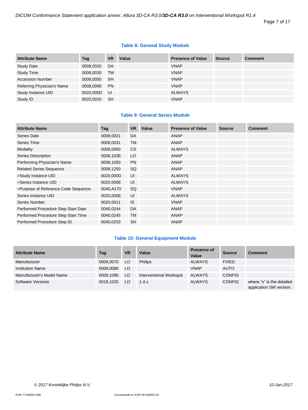Page 7 of 17

# **Table 8: General Study Module**

| <b>Attribute Name</b>      | Tag       | <b>VR</b> | Value | <b>Presence of Value</b> | <b>Source</b> | <b>Comment</b> |
|----------------------------|-----------|-----------|-------|--------------------------|---------------|----------------|
| <b>Study Date</b>          | 0008,0020 | DA        |       | <b>VNAP</b>              |               |                |
| <b>Study Time</b>          | 0008,0030 | <b>TM</b> |       | <b>VNAP</b>              |               |                |
| <b>Accession Number</b>    | 0008,0050 | <b>SH</b> |       | <b>VNAP</b>              |               |                |
| Referring Physician's Name | 0008,0090 | <b>PN</b> |       | <b>VNAP</b>              |               |                |
| Study Instance UID         | 0020,000D | UI        |       | <b>ALWAYS</b>            |               |                |
| Study ID                   | 0020,0010 | <b>SH</b> |       | <b>VNAP</b>              |               |                |

# **Table 9: General Series Module**

| <b>Attribute Name</b>               | Tag       | <b>VR</b> | Value | <b>Presence of Value</b> | <b>Source</b> | Comment |
|-------------------------------------|-----------|-----------|-------|--------------------------|---------------|---------|
| Series Date                         | 0008,0021 | DA        |       | ANAP                     |               |         |
| Series Time                         | 0008,0031 | <b>TM</b> |       | <b>ANAP</b>              |               |         |
| Modality                            | 0008,0060 | <b>CS</b> |       | <b>ALWAYS</b>            |               |         |
| <b>Series Description</b>           | 0008,103E | LO        |       | <b>ANAP</b>              |               |         |
| Performing Physician's Name         | 0008,1050 | <b>PN</b> |       | <b>ANAP</b>              |               |         |
| <b>Related Series Sequence</b>      | 0008,1250 | SQ        |       | <b>ANAP</b>              |               |         |
| >Study Instance UID                 | 0020,000D | UI        |       | <b>ALWAYS</b>            |               |         |
| >Series Instance UID                | 0020,000E | UI        |       | <b>ALWAYS</b>            |               |         |
| >Purpose of Reference Code Sequence | 0040,A170 | SQ        |       | <b>VNAP</b>              |               |         |
| Series Instance UID                 | 0020,000E | UI        |       | <b>ALWAYS</b>            |               |         |
| Series Number                       | 0020,0011 | <b>IS</b> |       | <b>VNAP</b>              |               |         |
| Performed Procedure Step Start Date | 0040,0244 | <b>DA</b> |       | <b>ANAP</b>              |               |         |
| Performed Procedure Step Start Time | 0040,0245 | <b>TM</b> |       | <b>ANAP</b>              |               |         |
| Performed Procedure Step ID         | 0040,0253 | <b>SH</b> |       | ANAP                     |               |         |

# **Table 10: General Equipment Module**

| <b>Attribute Name</b>     | Tag       | <b>VR</b> | Value                   | <b>Presence of</b><br>Value | <b>Source</b> | <b>Comment</b>                                       |
|---------------------------|-----------|-----------|-------------------------|-----------------------------|---------------|------------------------------------------------------|
| Manufacturer              | 0008.0070 | LO.       | <b>Philips</b>          | <b>ALWAYS</b>               | <b>FIXED</b>  |                                                      |
| <b>Institution Name</b>   | 0008.0080 | LO.       |                         | <b>VNAP</b>                 | <b>AUTO</b>   |                                                      |
| Manufacturer's Model Name | 0008,1090 | LO        | Interventional Workspot | <b>ALWAYS</b>               | <b>CONFIG</b> |                                                      |
| <b>Software Versions</b>  | 0018.1020 | LO.       | 1.4.x                   | ALWAYS                      | <b>CONFIG</b> | where "x" is the detailed<br>application SW version. |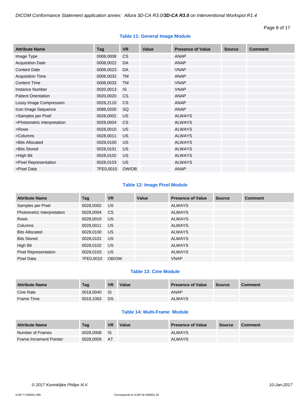# **Table 11: General Image Module**

| <b>Attribute Name</b>       | Tag       | <b>VR</b> | Value | <b>Presence of Value</b> | <b>Source</b> | <b>Comment</b> |
|-----------------------------|-----------|-----------|-------|--------------------------|---------------|----------------|
| Image Type                  | 0008,0008 | <b>CS</b> |       | <b>ANAP</b>              |               |                |
| <b>Acquisition Date</b>     | 0008,0022 | DA        |       | <b>ANAP</b>              |               |                |
| <b>Content Date</b>         | 0008,0023 | <b>DA</b> |       | <b>VNAP</b>              |               |                |
| <b>Acquisition Time</b>     | 0008,0032 | <b>TM</b> |       | <b>ANAP</b>              |               |                |
| <b>Content Time</b>         | 0008,0033 | <b>TM</b> |       | <b>VNAP</b>              |               |                |
| <b>Instance Number</b>      | 0020,0013 | <b>IS</b> |       | <b>VNAP</b>              |               |                |
| <b>Patient Orientation</b>  | 0020,0020 | <b>CS</b> |       | <b>ANAP</b>              |               |                |
| Lossy Image Compression     | 0028,2110 | <b>CS</b> |       | <b>ANAP</b>              |               |                |
| Icon Image Sequence         | 0088,0200 | SQ        |       | <b>ANAP</b>              |               |                |
| >Samples per Pixel          | 0028,0002 | US        |       | <b>ALWAYS</b>            |               |                |
| >Photometric Interpretation | 0028,0004 | <b>CS</b> |       | <b>ALWAYS</b>            |               |                |
| >Rows                       | 0028,0010 | US        |       | <b>ALWAYS</b>            |               |                |
| >Columns                    | 0028,0011 | US        |       | <b>ALWAYS</b>            |               |                |
| >Bits Allocated             | 0028,0100 | US        |       | <b>ALWAYS</b>            |               |                |
| >Bits Stored                | 0028,0101 | <b>US</b> |       | <b>ALWAYS</b>            |               |                |
| >High Bit                   | 0028,0102 | US        |       | <b>ALWAYS</b>            |               |                |
| >Pixel Representation       | 0028,0103 | US        |       | <b>ALWAYS</b>            |               |                |
| >Pixel Data                 | 7FE0,0010 | OW/OB     |       | <b>ANAP</b>              |               |                |

# **Table 12: Image Pixel Module**

| <b>Attribute Name</b>       | Tag       | <b>VR</b> | Value | <b>Presence of Value</b> | <b>Source</b> | <b>Comment</b> |
|-----------------------------|-----------|-----------|-------|--------------------------|---------------|----------------|
| Samples per Pixel           | 0028,0002 | <b>US</b> |       | <b>ALWAYS</b>            |               |                |
| Photometric Interpretation  | 0028,0004 | <b>CS</b> |       | <b>ALWAYS</b>            |               |                |
| Rows                        | 0028,0010 | US.       |       | <b>ALWAYS</b>            |               |                |
| Columns                     | 0028,0011 | US        |       | <b>ALWAYS</b>            |               |                |
| <b>Bits Allocated</b>       | 0028,0100 | US.       |       | <b>ALWAYS</b>            |               |                |
| <b>Bits Stored</b>          | 0028,0101 | US.       |       | <b>ALWAYS</b>            |               |                |
| High Bit                    | 0028,0102 | US.       |       | <b>ALWAYS</b>            |               |                |
| <b>Pixel Representation</b> | 0028,0103 | US.       |       | <b>ALWAYS</b>            |               |                |
| Pixel Data                  | 7FE0.0010 | OB/OW     |       | <b>VNAP</b>              |               |                |

# **Table 13: Cine Module**

| <b>Attribute Name</b> | Tag       | <b>VR</b> | Value | <b>Presence of Value</b> | Source | <b>Comment</b> |
|-----------------------|-----------|-----------|-------|--------------------------|--------|----------------|
| Cine Rate             | 0018.0040 | - IS      |       | <b>ANAP</b>              |        |                |
| Frame Time            | 0018.1063 | <b>DS</b> |       | <b>ALWAYS</b>            |        |                |

# **Table 14: Multi-Frame Module**

| <b>Attribute Name</b>          | Tag       | <b>VR</b> | Value | <b>Presence of Value</b> | <b>Source</b> | <b>Comment</b> |
|--------------------------------|-----------|-----------|-------|--------------------------|---------------|----------------|
| Number of Frames               | 0028.0008 | ⊟ IS      |       | <b>ALWAYS</b>            |               |                |
| <b>Frame Increment Pointer</b> | 0028.0009 | - AT      |       | <b>ALWAYS</b>            |               |                |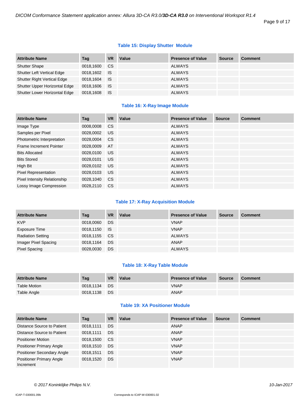#### Page 9 of 17

# **Table 15: Display Shutter Module**

| <b>Attribute Name</b>              | Taq          | <b>VR</b> | Value | <b>Presence of Value</b> | <b>Source</b> | <b>Comment</b> |
|------------------------------------|--------------|-----------|-------|--------------------------|---------------|----------------|
| <b>Shutter Shape</b>               | 0018,1600    | CS.       |       | <b>ALWAYS</b>            |               |                |
| <b>Shutter Left Vertical Edge</b>  | 0018,1602 IS |           |       | <b>ALWAYS</b>            |               |                |
| <b>Shutter Right Vertical Edge</b> | 0018,1604    | <b>IS</b> |       | <b>ALWAYS</b>            |               |                |
| Shutter Upper Horizontal Edge      | 0018,1606 IS |           |       | <b>ALWAYS</b>            |               |                |
| Shutter Lower Horizontal Edge      | 0018,1608    | IS        |       | <b>ALWAYS</b>            |               |                |

# **Table 16: X-Ray Image Module**

| <b>Attribute Name</b>               | Tag       | <b>VR</b>     | Value | <b>Presence of Value</b> | <b>Source</b> | <b>Comment</b> |
|-------------------------------------|-----------|---------------|-------|--------------------------|---------------|----------------|
| Image Type                          | 0008,0008 | <b>CS</b>     |       | <b>ALWAYS</b>            |               |                |
| Samples per Pixel                   | 0028,0002 | US            |       | <b>ALWAYS</b>            |               |                |
| Photometric Interpretation          | 0028,0004 | <sub>CS</sub> |       | <b>ALWAYS</b>            |               |                |
| Frame Increment Pointer             | 0028,0009 | AT            |       | <b>ALWAYS</b>            |               |                |
| <b>Bits Allocated</b>               | 0028,0100 | <b>US</b>     |       | <b>ALWAYS</b>            |               |                |
| <b>Bits Stored</b>                  | 0028.0101 | US            |       | <b>ALWAYS</b>            |               |                |
| High Bit                            | 0028,0102 | <b>US</b>     |       | <b>ALWAYS</b>            |               |                |
| <b>Pixel Representation</b>         | 0028,0103 | US.           |       | <b>ALWAYS</b>            |               |                |
| <b>Pixel Intensity Relationship</b> | 0028,1040 | <b>CS</b>     |       | <b>ALWAYS</b>            |               |                |
| Lossy Image Compression             | 0028.2110 | <sub>CS</sub> |       | <b>ALWAYS</b>            |               |                |

# **Table 17: X-Ray Acquisition Module**

| <b>Attribute Name</b>    | Tag          | <b>VR</b> | Value | <b>Presence of Value</b> | <b>Source</b> | <b>Comment</b> |
|--------------------------|--------------|-----------|-------|--------------------------|---------------|----------------|
| <b>KVP</b>               | 0018,0060    | DS        |       | <b>VNAP</b>              |               |                |
| Exposure Time            | 0018,1150 IS |           |       | <b>VNAP</b>              |               |                |
| <b>Radiation Setting</b> | 0018,1155 CS |           |       | <b>ALWAYS</b>            |               |                |
| Imager Pixel Spacing     | 0018,1164    | DS        |       | ANAP                     |               |                |
| <b>Pixel Spacing</b>     | 0028,0030    | DS        |       | <b>ALWAYS</b>            |               |                |

#### **Table 18: X-Ray Table Module**

| <b>Attribute Name</b> | Tag       | <b>VR</b> | Value | <b>Presence of Value</b> | <b>Source</b> | <b>Comment</b> |
|-----------------------|-----------|-----------|-------|--------------------------|---------------|----------------|
| <b>Table Motion</b>   | 0018.1134 | <b>DS</b> |       | <b>VNAP</b>              |               |                |
| Table Angle           | 0018.1138 | <b>DS</b> |       | ANAP                     |               |                |

# **Table 19: XA Positioner Module**

| <b>Attribute Name</b>                        | Tag       | <b>VR</b> | Value | <b>Presence of Value</b> | <b>Source</b> | <b>Comment</b> |
|----------------------------------------------|-----------|-----------|-------|--------------------------|---------------|----------------|
| Distance Source to Patient                   | 0018.1111 | <b>DS</b> |       | ANAP                     |               |                |
| Distance Source to Patient                   | 0018,1111 | <b>DS</b> |       | ANAP                     |               |                |
| <b>Positioner Motion</b>                     | 0018.1500 | <b>CS</b> |       | <b>VNAP</b>              |               |                |
| <b>Positioner Primary Angle</b>              | 0018,1510 | <b>DS</b> |       | <b>VNAP</b>              |               |                |
| <b>Positioner Secondary Angle</b>            | 0018.1511 | <b>DS</b> |       | <b>VNAP</b>              |               |                |
| <b>Positioner Primary Angle</b><br>Increment | 0018.1520 | <b>DS</b> |       | <b>VNAP</b>              |               |                |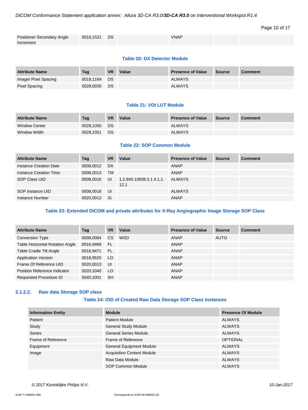# *DICOM Conformance Statement application annex: Allura 3D-CA R3.0/3D-CA R3.0 on Interventional Workspot R1.4*

# Page 10 of 17

| <b>Positioner Secondary Angle</b> | 0018,1521 | <b>DS</b> | <b>VNAP</b> |  |
|-----------------------------------|-----------|-----------|-------------|--|
| Increment                         |           |           |             |  |

#### **Table 20: DX Detector Module**

| <b>Attribute Name</b> | Tag       | <b>VR</b> | Value | <b>Presence of Value</b> | <b>Source</b> | Comment |
|-----------------------|-----------|-----------|-------|--------------------------|---------------|---------|
| Imager Pixel Spacing  | 0018.1164 | <b>DS</b> |       | <b>ALWAYS</b>            |               |         |
| Pixel Spacing         | 0028.0030 | DS        |       | <b>ALWAYS</b>            |               |         |

#### **Table 21: VOI LUT Module**

| <b>Attribute Name</b> | Taq       | <b>VR</b> | Value | <b>Presence of Value</b> | Source | <b>Comment</b> |
|-----------------------|-----------|-----------|-------|--------------------------|--------|----------------|
| <b>Window Center</b>  | 0028.1050 | DS.       |       | <b>ALWAYS</b>            |        |                |
| Window Width          | 0028.1051 | DS        |       | <b>ALWAYS</b>            |        |                |

# **Table 22: SOP Common Module**

| <b>Attribute Name</b>  | Tag       | <b>VR</b> | Value                            | <b>Presence of Value</b> | <b>Source</b> | <b>Comment</b> |
|------------------------|-----------|-----------|----------------------------------|--------------------------|---------------|----------------|
| Instance Creation Date | 0008.0012 | DA        |                                  | ANAP                     |               |                |
| Instance Creation Time | 0008,0013 | <b>TM</b> |                                  | ANAP                     |               |                |
| SOP Class UID          | 0008,0016 | UI        | 1.2.840.10008.5.1.4.1.1.<br>12.1 | ALWAYS                   |               |                |
| SOP Instance UID       | 0008,0018 | UI        |                                  | <b>ALWAYS</b>            |               |                |
| Instance Number        | 0020,0013 | - IS      |                                  | ANAP                     |               |                |

# **Table 23: Extended DICOM and private attributes for X-Ray Angiographic Image Storage SOP Class**

| <b>Attribute Name</b>                  | Taq       | <b>VR</b> | Value      | <b>Presence of Value</b> | <b>Source</b> | <b>Comment</b> |
|----------------------------------------|-----------|-----------|------------|--------------------------|---------------|----------------|
| <b>Conversion Type</b>                 | 0008,0064 | <b>CS</b> | <b>WSD</b> | ANAP                     | <b>AUTO</b>   |                |
| <b>Table Horizontal Rotation Angle</b> | 0018,9469 | -FL       |            | ANAP                     |               |                |
| Table Cradle Tilt Angle                | 0018.9471 | -FL       |            | ANAP                     |               |                |
| <b>Application Version</b>             | 0018,9525 | <b>LO</b> |            | ANAP                     |               |                |
| Frame Of Reference UID                 | 0020,0013 | UI        |            | ANAP                     |               |                |
| Position Reference Indicator           | 0020,1040 | LO.       |            | ANAP                     |               |                |
| <b>Requested Procedure ID</b>          | 0040,1001 | <b>SH</b> |            | ANAP                     |               |                |

# <span id="page-9-0"></span>**2.1.2.2. Raw data Storage SOP class**

#### **Table 24: IOD of Created Raw Data Storage SOP Class Instances**

| <b>Information Entity</b> | <b>Module</b>                     | <b>Presence Of Module</b> |
|---------------------------|-----------------------------------|---------------------------|
| Patient                   | <b>Patient Module</b>             | <b>ALWAYS</b>             |
| Study                     | <b>General Study Module</b>       | <b>ALWAYS</b>             |
| <b>Series</b>             | <b>General Series Module</b>      | <b>ALWAYS</b>             |
| Frame of Reference        | Frame of Reference                | <b>OPTIONAL</b>           |
| Equipment                 | <b>General Equipment Module</b>   | <b>ALWAYS</b>             |
| Image                     | <b>Acquisition Context Module</b> | <b>ALWAYS</b>             |
|                           | Raw Data Module                   | <b>ALWAYS</b>             |
|                           | SOP Common Module                 | <b>ALWAYS</b>             |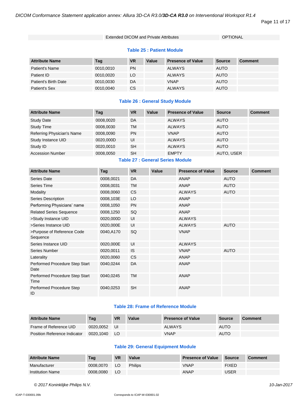#### Page 11 of 17

#### Extended DICOM and Private Attributes **CONCORDITY CONTINGLEY**

# **Table 25 : Patient Module**

| <b>Attribute Name</b> | Tag       | <b>VR</b> | Value | <b>Presence of Value</b> | <b>Source</b> | <b>Comment</b> |
|-----------------------|-----------|-----------|-------|--------------------------|---------------|----------------|
| Patient's Name        | 0010,0010 | PN        |       | <b>ALWAYS</b>            | <b>AUTO</b>   |                |
| Patient ID            | 0010,0020 | LO        |       | <b>ALWAYS</b>            | <b>AUTO</b>   |                |
| Patient's Birth Date  | 0010,0030 | DA        |       | <b>VNAP</b>              | <b>AUTO</b>   |                |
| Patient's Sex         | 0010,0040 | CS        |       | <b>ALWAYS</b>            | <b>AUTO</b>   |                |

# **Table 26 : General Study Module**

| <b>Attribute Name</b>      | Taq       | <b>VR</b> | Value | <b>Presence of Value</b> | <b>Source</b> | <b>Comment</b> |
|----------------------------|-----------|-----------|-------|--------------------------|---------------|----------------|
| <b>Study Date</b>          | 0008.0020 | DA        |       | <b>ALWAYS</b>            | <b>AUTO</b>   |                |
| <b>Study Time</b>          | 0008.0030 | TM        |       | <b>ALWAYS</b>            | <b>AUTO</b>   |                |
| Referring Physician's Name | 0008.0090 | <b>PN</b> |       | <b>VNAP</b>              | <b>AUTO</b>   |                |
| Study Instance UID         | 0020.000D | UI        |       | <b>ALWAYS</b>            | <b>AUTO</b>   |                |
| Study ID                   | 0020.0010 | <b>SH</b> |       | <b>ALWAYS</b>            | <b>AUTO</b>   |                |
| <b>Accession Number</b>    | 0008,0050 | <b>SH</b> |       | <b>EMPTY</b>             | AUTO, USER    |                |

# **Table 27 : General Series Module**

| <b>Attribute Name</b>                  | Tag       | <b>VR</b> | Value | <b>Presence of Value</b> | <b>Source</b> | <b>Comment</b> |
|----------------------------------------|-----------|-----------|-------|--------------------------|---------------|----------------|
| Series Date                            | 0008,0021 | <b>DA</b> |       | ANAP                     | <b>AUTO</b>   |                |
| <b>Series Time</b>                     | 0008,0031 | TM        |       | <b>ANAP</b>              | <b>AUTO</b>   |                |
| Modality                               | 0008,0060 | <b>CS</b> |       | <b>ALWAYS</b>            | <b>AUTO</b>   |                |
| Series Description                     | 0008,103E | LO        |       | <b>ANAP</b>              |               |                |
| Performing Physicians' name            | 0008,1050 | <b>PN</b> |       | ANAP                     |               |                |
| <b>Related Series Sequence</b>         | 0008,1250 | SQ        |       | ANAP                     |               |                |
| >Study Instance UID                    | 0020,000D | UI        |       | <b>ALWAYS</b>            |               |                |
| >Series Instance UID                   | 0020,000E | UI        |       | <b>ALWAYS</b>            | <b>AUTO</b>   |                |
| >Purpose of Reference Code<br>Sequence | 0040,A170 | SQ        |       | <b>VNAP</b>              |               |                |
| Series Instance UID                    | 0020,000E | UI        |       | <b>ALWAYS</b>            |               |                |
| Series Number                          | 0020,0011 | <b>IS</b> |       | <b>VNAP</b>              | <b>AUTO</b>   |                |
| Laterality                             | 0020,0060 | <b>CS</b> |       | <b>ANAP</b>              |               |                |
| Performed Procedure Step Start<br>Date | 0040,0244 | DA        |       | <b>ANAP</b>              |               |                |
| Performed Procedure Step Start<br>Time | 0040,0245 | TM        |       | <b>ANAP</b>              |               |                |
| Performed Procedure Step<br>ID         | 0040,0253 | <b>SH</b> |       | <b>ANAP</b>              |               |                |

# **Table 28: Frame of Reference Module**

| <b>Attribute Name</b>        | Taq       | <b>VR</b> | Value | <b>Presence of Value</b> | <b>Source</b> | <b>Comment</b> |
|------------------------------|-----------|-----------|-------|--------------------------|---------------|----------------|
| Frame of Reference UID       | 0020.0052 | UI        |       | <b>ALWAYS</b>            | <b>AUTO</b>   |                |
| Position Reference Indicator | 0020.1040 | LO.       |       | VNAP                     | <b>AUTO</b>   |                |

# **Table 29: General Equipment Module**

| <b>Attribute Name</b>   | Tag       | <b>VR</b> | Value          | <b>Presence of Value</b> | Source       | <b>Comment</b> |
|-------------------------|-----------|-----------|----------------|--------------------------|--------------|----------------|
| Manufacturer            | 0008.0070 | LO        | <b>Philips</b> | <b>VNAP</b>              | <b>FIXED</b> |                |
| <b>Institution Name</b> | 0008.0080 | LO        |                | <b>ANAP</b>              | USER         |                |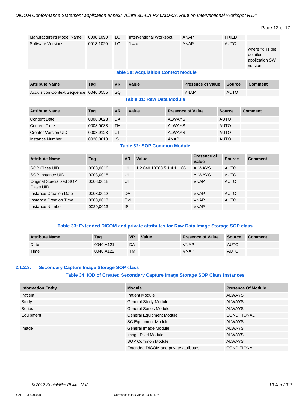```
Page 12 of 17
```

| Manufacturer's Model Name | 0008,1090 | LO <sub>1</sub> | Interventional Workspot                     | ANAP | <b>FIXED</b> |                                                            |
|---------------------------|-----------|-----------------|---------------------------------------------|------|--------------|------------------------------------------------------------|
| Software Versions         | 0018,1020 | LO              | 1.4.x                                       | ANAP | <b>AUTO</b>  | where "x" is the<br>detailed<br>application SW<br>version. |
|                           |           |                 | <b>Table 30: Acquisition Context Module</b> |      |              |                                                            |

| <b>Attribute Name</b>                     | Tag | <b>VR</b> | Value | <b>Presence of Value Source</b> |             | Comment |
|-------------------------------------------|-----|-----------|-------|---------------------------------|-------------|---------|
| Acquisition Context Sequence 0040,0555 SQ |     |           |       | <b>VNAP</b>                     | <b>AUTO</b> |         |

#### **Table 31: Raw Data Module**

| <b>Attribute Name</b>      | Tag       | <b>VR</b> | Value | <b>Presence of Value</b> | <b>Source</b> | <b>Comment</b> |
|----------------------------|-----------|-----------|-------|--------------------------|---------------|----------------|
| <b>Content Date</b>        | 0008,0023 | DA        |       | <b>ALWAYS</b>            | <b>AUTO</b>   |                |
| <b>Content Time</b>        | 0008,0033 | <b>TM</b> |       | <b>ALWAYS</b>            | <b>AUTO</b>   |                |
| <b>Creator Version UID</b> | 0008.9123 | UI        |       | <b>ALWAYS</b>            | <b>AUTO</b>   |                |
| Instance Number            | 0020,0013 | <b>IS</b> |       | <b>ANAP</b>              | <b>AUTO</b>   |                |

# **Table 32: SOP Common Module**

| <b>Attribute Name</b>                 | Taq       | <b>VR</b> | Value                      | Presence of<br>Value | <b>Source</b> | <b>Comment</b> |
|---------------------------------------|-----------|-----------|----------------------------|----------------------|---------------|----------------|
| SOP Class UID                         | 0008,0016 | UI        | 1.2.840.10008.5.1.4.1.1.66 | <b>ALWAYS</b>        | <b>AUTO</b>   |                |
| SOP Instance UID                      | 0008.0018 | UI        |                            | <b>ALWAYS</b>        | <b>AUTO</b>   |                |
| Original Specialized SOP<br>Class UID | 0008.001B | UI        |                            | <b>VNAP</b>          | <b>AUTO</b>   |                |
| Instance Creation Date                | 0008.0012 | DA        |                            | <b>VNAP</b>          | <b>AUTO</b>   |                |
| Instance Creation Time                | 0008,0013 | TМ        |                            | <b>VNAP</b>          | <b>AUTO</b>   |                |
| Instance Number                       | 0020,0013 | IS        |                            | <b>VNAP</b>          |               |                |

# **Table 33: Extended DICOM and private attributes for Raw Data Image Storage SOP class**

| <b>Attribute Name</b> | Tag       | <b>VR</b> | Value | <b>Presence of Value</b> | Source      | <b>Comment</b> |
|-----------------------|-----------|-----------|-------|--------------------------|-------------|----------------|
| Date                  | 0040.A121 | DA        |       | VNAP                     | <b>AUTO</b> |                |
| Time                  | 0040.A122 | TM        |       | VNAP                     | <b>AUTO</b> |                |

# <span id="page-11-0"></span>**2.1.2.3. Secondary Capture Image Storage SOP class**

# **Table 34: IOD of Created Secondary Capture Image Storage SOP Class Instances**

| <b>Information Entity</b> | <b>Module</b>                         | <b>Presence Of Module</b> |
|---------------------------|---------------------------------------|---------------------------|
| Patient                   | <b>Patient Module</b>                 | ALWAYS                    |
| Study                     | <b>General Study Module</b>           | ALWAYS                    |
| Series                    | <b>General Series Module</b>          | <b>ALWAYS</b>             |
| Equipment                 | <b>General Equipment Module</b>       | <b>CONDITIONAL</b>        |
|                           | <b>SC Equipment Module</b>            | ALWAYS                    |
| Image                     | General Image Module                  | ALWAYS                    |
|                           | Image Pixel Module                    | <b>ALWAYS</b>             |
|                           | <b>SOP Common Module</b>              | ALWAYS                    |
|                           | Extended DICOM and private attributes | <b>CONDITIONAL</b>        |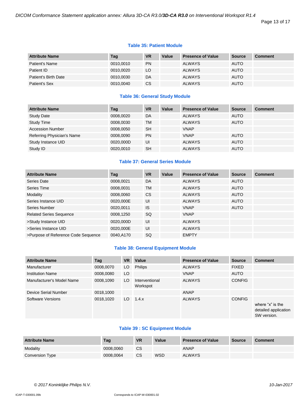Page 13 of 17

#### **Table 35: Patient Module**

| <b>Attribute Name</b> | Tag       | <b>VR</b> | Value | <b>Presence of Value</b> | <b>Source</b> | <b>Comment</b> |
|-----------------------|-----------|-----------|-------|--------------------------|---------------|----------------|
| Patient's Name        | 0010,0010 | <b>PN</b> |       | <b>ALWAYS</b>            | <b>AUTO</b>   |                |
| Patient ID            | 0010,0020 | LO        |       | <b>ALWAYS</b>            | <b>AUTO</b>   |                |
| Patient's Birth Date  | 0010,0030 | DA        |       | <b>ALWAYS</b>            | <b>AUTO</b>   |                |
| Patient's Sex         | 0010,0040 | <b>CS</b> |       | <b>ALWAYS</b>            | <b>AUTO</b>   |                |

# **Table 36: General Study Module**

| <b>Attribute Name</b>      | Tag       | <b>VR</b> | Value | <b>Presence of Value</b> | <b>Source</b> | <b>Comment</b> |
|----------------------------|-----------|-----------|-------|--------------------------|---------------|----------------|
| <b>Study Date</b>          | 0008,0020 | DA        |       | <b>ALWAYS</b>            | <b>AUTO</b>   |                |
| <b>Study Time</b>          | 0008.0030 | TM        |       | <b>ALWAYS</b>            | <b>AUTO</b>   |                |
| <b>Accession Number</b>    | 0008.0050 | <b>SH</b> |       | <b>VNAP</b>              |               |                |
| Referring Physician's Name | 0008.0090 | <b>PN</b> |       | <b>VNAP</b>              | <b>AUTO</b>   |                |
| Study Instance UID         | 0020,000D | UI        |       | <b>ALWAYS</b>            | <b>AUTO</b>   |                |
| Study ID                   | 0020,0010 | <b>SH</b> |       | <b>ALWAYS</b>            | <b>AUTO</b>   |                |

#### **Table 37: General Series Module**

| <b>Attribute Name</b>               | Tag       | <b>VR</b> | Value | <b>Presence of Value</b> | <b>Source</b> | <b>Comment</b> |
|-------------------------------------|-----------|-----------|-------|--------------------------|---------------|----------------|
| Series Date                         | 0008,0021 | DA        |       | <b>ALWAYS</b>            | <b>AUTO</b>   |                |
| Series Time                         | 0008,0031 | <b>TM</b> |       | <b>ALWAYS</b>            | <b>AUTO</b>   |                |
| Modality                            | 0008,0060 | <b>CS</b> |       | <b>ALWAYS</b>            | <b>AUTO</b>   |                |
| Series Instance UID                 | 0020,000E | UI        |       | <b>ALWAYS</b>            | <b>AUTO</b>   |                |
| Series Number                       | 0020,0011 | <b>IS</b> |       | <b>VNAP</b>              | <b>AUTO</b>   |                |
| <b>Related Series Sequence</b>      | 0008,1250 | SQ        |       | <b>VNAP</b>              |               |                |
| >Study Instance UID                 | 0020,000D | UI        |       | <b>ALWAYS</b>            |               |                |
| >Series Instance UID                | 0020,000E | UI        |       | <b>ALWAYS</b>            |               |                |
| >Purpose of Reference Code Sequence | 0040,A170 | SQ        |       | <b>EMPTY</b>             |               |                |

# **Table 38: General Equipment Module**

| <b>Attribute Name</b>     | Tag       | <b>VR</b> | Value                      | <b>Presence of Value</b> | <b>Source</b> | <b>Comment</b>                                          |
|---------------------------|-----------|-----------|----------------------------|--------------------------|---------------|---------------------------------------------------------|
| Manufacturer              | 0008,0070 | LO        | <b>Philips</b>             | <b>ALWAYS</b>            | <b>FIXED</b>  |                                                         |
| <b>Institution Name</b>   | 0008,0080 | LO        |                            | <b>VNAP</b>              | <b>AUTO</b>   |                                                         |
| Manufacturer's Model Name | 0008,1090 | LO        | Interventional<br>Workspot | <b>ALWAYS</b>            | <b>CONFIG</b> |                                                         |
| Device Serial Number      | 0018,1000 |           |                            | ANAP                     |               |                                                         |
| Software Versions         | 0018,1020 | LO.       | 1.4.x                      | <b>ALWAYS</b>            | <b>CONFIG</b> | where "x" is the<br>detailed application<br>SW version. |

# **Table 39 : SC Equipment Module**

| <b>Attribute Name</b> | Tag       | <b>VR</b> | Value      | <b>Presence of Value</b> | Source | Comment |
|-----------------------|-----------|-----------|------------|--------------------------|--------|---------|
| Modality              | 0008.0060 | CS        |            | ANAP                     |        |         |
| Conversion Type       | 0008.0064 | CS        | <b>WSD</b> | <b>ALWAYS</b>            |        |         |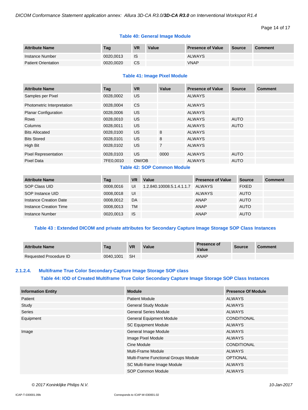```
Page 14 of 17
```
# **Table 40: General Image Module**

| <b>Attribute Name</b>      | Tag       | <b>VR</b> | Value | <b>Presence of Value</b> | Source | <b>Comment</b> |
|----------------------------|-----------|-----------|-------|--------------------------|--------|----------------|
| Instance Number            | 0020.0013 | -IS       |       | <b>ALWAYS</b>            |        |                |
| <b>Patient Orientation</b> | 0020.0020 | <b>CS</b> |       | <b>VNAP</b>              |        |                |

#### **Table 41: Image Pixel Module**

| <b>Attribute Name</b>       | Tag       | <b>VR</b> | Value          | <b>Presence of Value</b> | <b>Source</b> | <b>Comment</b> |
|-----------------------------|-----------|-----------|----------------|--------------------------|---------------|----------------|
| Samples per Pixel           | 0028,0002 | US        |                | <b>ALWAYS</b>            |               |                |
| Photometric Interpretation  | 0028,0004 | <b>CS</b> |                | <b>ALWAYS</b>            |               |                |
| <b>Planar Configuration</b> | 0028,0006 | US.       |                | <b>ALWAYS</b>            |               |                |
| Rows                        | 0028,0010 | US.       |                | <b>ALWAYS</b>            | <b>AUTO</b>   |                |
| Columns                     | 0028,0011 | US.       |                | <b>ALWAYS</b>            | <b>AUTO</b>   |                |
| <b>Bits Allocated</b>       | 0028,0100 | US.       | 8              | <b>ALWAYS</b>            |               |                |
| <b>Bits Stored</b>          | 0028,0101 | US.       | 8              | <b>ALWAYS</b>            |               |                |
| High Bit                    | 0028,0102 | <b>US</b> | $\overline{7}$ | <b>ALWAYS</b>            |               |                |
| <b>Pixel Representation</b> | 0028,0103 | US.       | 0000           | <b>ALWAYS</b>            | <b>AUTO</b>   |                |
| <b>Pixel Data</b>           | 7FE0,0010 | OW/OB     |                | <b>ALWAYS</b>            | <b>AUTO</b>   |                |

# **Table 42: SOP Common Module**

| <b>Attribute Name</b>  | Tag       | <b>VR</b> | Value                     | <b>Presence of Value</b> | <b>Source</b> | <b>Comment</b> |
|------------------------|-----------|-----------|---------------------------|--------------------------|---------------|----------------|
| SOP Class UID          | 0008.0016 | UI        | 1.2.840.10008.5.1.4.1.1.7 | ALWAYS                   | <b>FIXED</b>  |                |
| SOP Instance UID       | 0008.0018 | UI        |                           | <b>ALWAYS</b>            | <b>AUTO</b>   |                |
| Instance Creation Date | 0008.0012 | DA        |                           | ANAP                     | <b>AUTO</b>   |                |
| Instance Creation Time | 0008.0013 | <b>TM</b> |                           | ANAP                     | <b>AUTO</b>   |                |
| Instance Number        | 0020.0013 | <b>IS</b> |                           | ANAP                     | <b>AUTO</b>   |                |

# **Table 43 : Extended DICOM and private attributes for Secondary Capture Image Storage SOP Class Instances**

| <b>Attribute Name</b>  | Tag       | <b>VR</b> | Value | <b>Presence of</b><br>Value | <b>Source</b> | <b>Comment</b> |
|------------------------|-----------|-----------|-------|-----------------------------|---------------|----------------|
| Requested Procedure ID | 0040.1001 | -SH       |       | <b>ANAP</b>                 |               |                |

# <span id="page-13-0"></span>**2.1.2.4. Multiframe True Color Secondary Capture Image Storage SOP class Table 44: IOD of Created Multiframe True Color Secondary Capture Image Storage SOP Class Instances**

| <b>Information Entity</b> | <b>Module</b>                        | <b>Presence Of Module</b> |
|---------------------------|--------------------------------------|---------------------------|
| Patient                   | <b>Patient Module</b>                | ALWAYS                    |
| Study                     | <b>General Study Module</b>          | <b>ALWAYS</b>             |
| <b>Series</b>             | <b>General Series Module</b>         | <b>ALWAYS</b>             |
| Equipment                 | <b>General Equipment Module</b>      | <b>CONDITIONAL</b>        |
|                           | <b>SC Equipment Module</b>           | <b>ALWAYS</b>             |
| Image                     | General Image Module                 | <b>ALWAYS</b>             |
|                           | Image Pixel Module                   | ALWAYS                    |
|                           | Cine Module                          | <b>CONDITIONAL</b>        |
|                           | Multi-Frame Module                   | ALWAYS                    |
|                           | Multi-Frame Functional Groups Module | <b>OPTIONAL</b>           |
|                           | SC Multi-frame Image Module          | <b>ALWAYS</b>             |
|                           | SOP Common Module                    | <b>ALWAYS</b>             |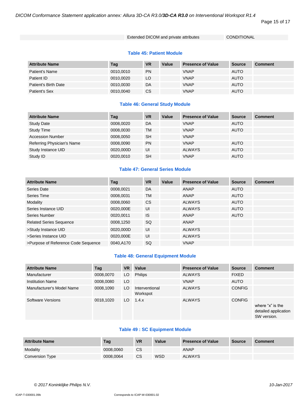*DICOM Conformance Statement application annex: Allura 3D-CA R3.0/3D-CA R3.0 on Interventional Workspot R1.4*

Page 15 of 17

Extended DICOM and private attributes CONDITIONAL

#### **Table 45: Patient Module**

| <b>Attribute Name</b> | Tag       | <b>VR</b> | Value | <b>Presence of Value</b> | <b>Source</b> | <b>Comment</b> |
|-----------------------|-----------|-----------|-------|--------------------------|---------------|----------------|
| Patient's Name        | 0010,0010 | <b>PN</b> |       | <b>VNAP</b>              | <b>AUTO</b>   |                |
| Patient ID            | 0010.0020 | LO.       |       | <b>VNAP</b>              | <b>AUTO</b>   |                |
| Patient's Birth Date  | 0010.0030 | DA        |       | <b>VNAP</b>              | <b>AUTO</b>   |                |
| Patient's Sex         | 0010,0040 | <b>CS</b> |       | <b>VNAP</b>              | <b>AUTO</b>   |                |

# **Table 46: General Study Module**

| <b>Attribute Name</b>      | Tag       | <b>VR</b> | Value | <b>Presence of Value</b> | <b>Source</b> | <b>Comment</b> |
|----------------------------|-----------|-----------|-------|--------------------------|---------------|----------------|
| <b>Study Date</b>          | 0008,0020 | DA        |       | <b>VNAP</b>              | <b>AUTO</b>   |                |
| <b>Study Time</b>          | 0008,0030 | <b>TM</b> |       | <b>VNAP</b>              | <b>AUTO</b>   |                |
| <b>Accession Number</b>    | 0008.0050 | <b>SH</b> |       | <b>VNAP</b>              |               |                |
| Referring Physician's Name | 0008,0090 | <b>PN</b> |       | <b>VNAP</b>              | <b>AUTO</b>   |                |
| Study Instance UID         | 0020,000D | UI        |       | <b>ALWAYS</b>            | <b>AUTO</b>   |                |
| Study ID                   | 0020.0010 | <b>SH</b> |       | <b>VNAP</b>              | <b>AUTO</b>   |                |

# **Table 47: General Series Module**

| <b>Attribute Name</b>               | Tag       | <b>VR</b>     | Value | <b>Presence of Value</b> | <b>Source</b> | <b>Comment</b> |
|-------------------------------------|-----------|---------------|-------|--------------------------|---------------|----------------|
| Series Date                         | 0008,0021 | DA            |       | ANAP                     | <b>AUTO</b>   |                |
| Series Time                         | 0008,0031 | <b>TM</b>     |       | <b>ANAP</b>              | <b>AUTO</b>   |                |
| Modality                            | 0008,0060 | <sub>CS</sub> |       | <b>ALWAYS</b>            | <b>AUTO</b>   |                |
| Series Instance UID                 | 0020.000E | UI            |       | <b>ALWAYS</b>            | <b>AUTO</b>   |                |
| Series Number                       | 0020.0011 | <b>IS</b>     |       | ANAP                     | <b>AUTO</b>   |                |
| <b>Related Series Sequence</b>      | 0008,1250 | <b>SQ</b>     |       | <b>ANAP</b>              |               |                |
| >Study Instance UID                 | 0020,000D | UI            |       | <b>ALWAYS</b>            |               |                |
| >Series Instance UID                | 0020.000E | UI            |       | <b>ALWAYS</b>            |               |                |
| >Purpose of Reference Code Sequence | 0040,A170 | SQ            |       | <b>VNAP</b>              |               |                |

# **Table 48: General Equipment Module**

| <b>Attribute Name</b>     | Tag       | <b>VR</b> | Value                      | <b>Presence of Value</b> | <b>Source</b> | <b>Comment</b>                                          |
|---------------------------|-----------|-----------|----------------------------|--------------------------|---------------|---------------------------------------------------------|
| Manufacturer              | 0008,0070 | LO.       | <b>Philips</b>             | <b>ALWAYS</b>            | <b>FIXED</b>  |                                                         |
| <b>Institution Name</b>   | 0008,0080 | LO        |                            | <b>VNAP</b>              | <b>AUTO</b>   |                                                         |
| Manufacturer's Model Name | 0008,1090 | LO.       | Interventional<br>Workspot | <b>ALWAYS</b>            | <b>CONFIG</b> |                                                         |
| Software Versions         | 0018,1020 | LO.       | 1.4.x                      | <b>ALWAYS</b>            | <b>CONFIG</b> | where "x" is the<br>detailed application<br>SW version. |

# **Table 49 : SC Equipment Module**

| <b>Attribute Name</b> | Tag       | <b>VR</b> | Value      | <b>Presence of Value</b> | <b>Source</b> | <b>Comment</b> |
|-----------------------|-----------|-----------|------------|--------------------------|---------------|----------------|
| Modality              | 0008.0060 | CS        |            | ANAP                     |               |                |
| Conversion Type       | 0008.0064 | <b>CS</b> | <b>WSD</b> | <b>ALWAYS</b>            |               |                |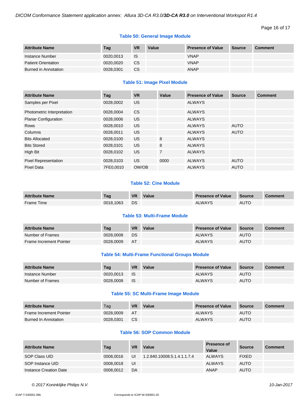```
Page 16 of 17
```
# **Table 50: General Image Module**

| <b>Attribute Name</b>      | Tag       | <b>VR</b> | Value | <b>Presence of Value</b> | Source | Comment |
|----------------------------|-----------|-----------|-------|--------------------------|--------|---------|
| Instance Number            | 0020.0013 | <b>IS</b> |       | <b>VNAP</b>              |        |         |
| <b>Patient Orientation</b> | 0020.0020 | CS        |       | <b>VNAP</b>              |        |         |
| Burned in Annotation       | 0028.0301 | CS        |       | <b>ANAP</b>              |        |         |

# **Table 51: Image Pixel Module**

| <b>Attribute Name</b>       | Tag       | <b>VR</b> | Value          | <b>Presence of Value</b> | <b>Source</b> | <b>Comment</b> |
|-----------------------------|-----------|-----------|----------------|--------------------------|---------------|----------------|
| Samples per Pixel           | 0028.0002 | US.       |                | <b>ALWAYS</b>            |               |                |
| Photometric Interpretation  | 0028,0004 | <b>CS</b> |                | <b>ALWAYS</b>            |               |                |
| <b>Planar Configuration</b> | 0028,0006 | US.       |                | <b>ALWAYS</b>            |               |                |
| <b>Rows</b>                 | 0028,0010 | US.       |                | <b>ALWAYS</b>            | <b>AUTO</b>   |                |
| Columns                     | 0028,0011 | US.       |                | <b>ALWAYS</b>            | <b>AUTO</b>   |                |
| <b>Bits Allocated</b>       | 0028,0100 | US.       | 8              | <b>ALWAYS</b>            |               |                |
| <b>Bits Stored</b>          | 0028,0101 | US.       | 8              | <b>ALWAYS</b>            |               |                |
| High Bit                    | 0028,0102 | <b>US</b> | $\overline{7}$ | <b>ALWAYS</b>            |               |                |
| <b>Pixel Representation</b> | 0028,0103 | US.       | 0000           | <b>ALWAYS</b>            | <b>AUTO</b>   |                |
| Pixel Data                  | 7FE0,0010 | OW/OB     |                | <b>ALWAYS</b>            | <b>AUTO</b>   |                |

# **Table 52: Cine Module**

| <b>Attribute Name</b> | Tag       | <b>VR</b> | Value | <b>Presence of Value</b> | <b>Source</b> | <b>Comment</b> |
|-----------------------|-----------|-----------|-------|--------------------------|---------------|----------------|
| Frame Time            | 0018.1063 | DS        |       | ALWAYS                   | AUTO          |                |

# **Table 53: Multi-Frame Module**

| <b>Attribute Name</b>   | Taq       | <b>VR</b> | Value | <b>Presence of Value</b> | <b>Source</b> | <b>Comment</b> |
|-------------------------|-----------|-----------|-------|--------------------------|---------------|----------------|
| Number of Frames        | 0028,0008 | DS        |       | <b>ALWAYS</b>            | <b>AUTO</b>   |                |
| Frame Increment Pointer | 0028,0009 | AT        |       | <b>ALWAYS</b>            | AUTO          |                |

#### **Table 54: Multi-Frame Functional Groups Module**

| <b>Attribute Name</b> | Tag       | <b>VR</b> | Value | <b>Presence of Value</b> | <b>Source</b> | <b>Comment</b> |
|-----------------------|-----------|-----------|-------|--------------------------|---------------|----------------|
| Instance Number       | 0020.0013 | - IS      |       | <b>ALWAYS</b>            | <b>AUTO</b>   |                |
| Number of Frames      | 0028,0008 | <b>IS</b> |       | <b>ALWAYS</b>            | <b>AUTO</b>   |                |

# **Table 55: SC Multi-Frame Image Module**

| <b>Attribute Name</b>       | Tag       | <b>VR</b> | Value | <b>Presence of Value</b> | Source      | <b>Comment</b> |
|-----------------------------|-----------|-----------|-------|--------------------------|-------------|----------------|
| Frame Increment Pointer     | 0028,0009 | AT        |       | <b>ALWAYS</b>            | <b>AUTO</b> |                |
| <b>Burned In Annotation</b> | 0028.0301 | <b>CS</b> |       | <b>ALWAYS</b>            | <b>AUTO</b> |                |

# **Table 56: SOP Common Module**

| <b>Attribute Name</b>  | Tag       | <b>VR</b> | Value                       | Presence of<br>Value | <b>Source</b> | <b>Comment</b> |
|------------------------|-----------|-----------|-----------------------------|----------------------|---------------|----------------|
| SOP Class UID          | 0008.0016 | UI        | 1.2.840.10008.5.1.4.1.1.7.4 | <b>ALWAYS</b>        | <b>FIXED</b>  |                |
| SOP Instance UID       | 0008.0018 | UI        |                             | <b>ALWAYS</b>        | <b>AUTO</b>   |                |
| Instance Creation Date | 0008.0012 | DA        |                             | <b>ANAP</b>          | <b>AUTO</b>   |                |